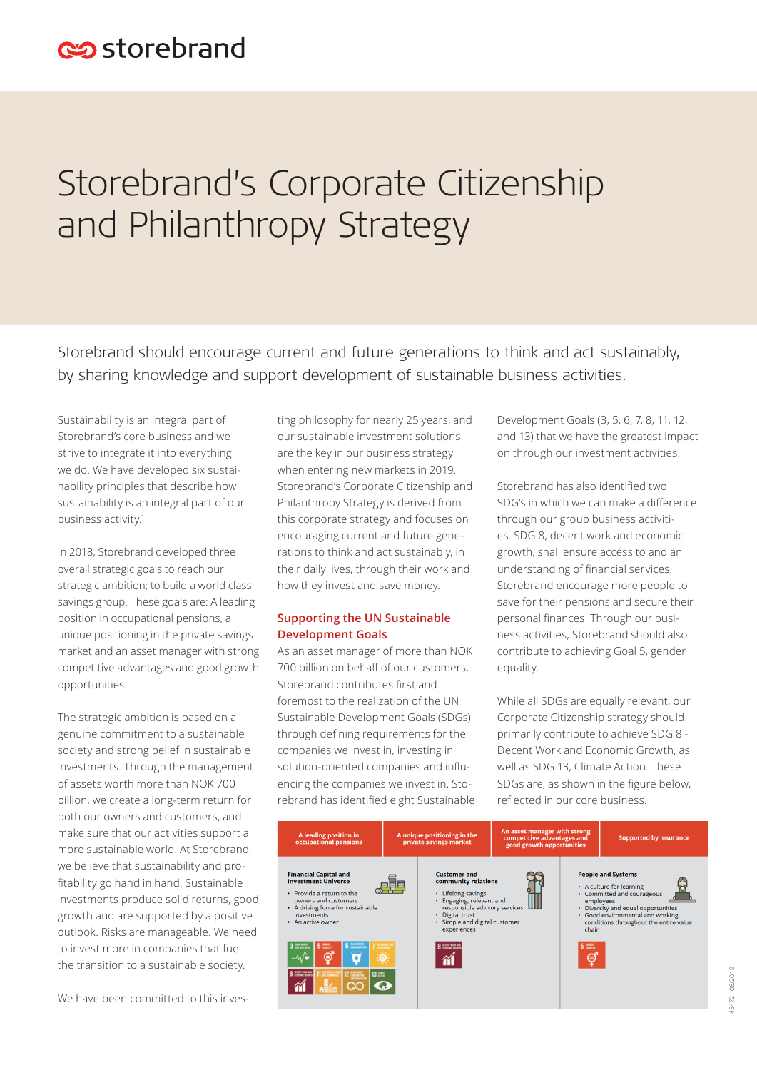# Storebrand's Corporate Citizenship and Philanthropy Strategy

Storebrand should encourage current and future generations to think and act sustainably, by sharing knowledge and support development of sustainable business activities.

Sustainability is an integral part of Storebrand's core business and we strive to integrate it into everything we do. We have developed six sustainability principles that describe how sustainability is an integral part of our business activity.<sup>1</sup>

In 2018, Storebrand developed three overall strategic goals to reach our strategic ambition; to build a world class savings group. These goals are: A leading position in occupational pensions, a unique positioning in the private savings market and an asset manager with strong competitive advantages and good growth opportunities.

The strategic ambition is based on a genuine commitment to a sustainable society and strong belief in sustainable investments. Through the management of assets worth more than NOK 700 billion, we create a long-term return for both our owners and customers, and make sure that our activities support a more sustainable world. At Storebrand, we believe that sustainability and profitability go hand in hand. Sustainable investments produce solid returns, good growth and are supported by a positive outlook. Risks are manageable. We need to invest more in companies that fuel the transition to a sustainable society.

We have been committed to this inves-

ting philosophy for nearly 25 years, and our sustainable investment solutions are the key in our business strategy when entering new markets in 2019. Storebrand's Corporate Citizenship and Philanthropy Strategy is derived from this corporate strategy and focuses on encouraging current and future generations to think and act sustainably, in their daily lives, through their work and how they invest and save money.

## **Supporting the UN Sustainable Development Goals**

As an asset manager of more than NOK 700 billion on behalf of our customers, Storebrand contributes first and foremost to the realization of the UN Sustainable Development Goals (SDGs) through defining requirements for the companies we invest in, investing in solution-oriented companies and influencing the companies we invest in. Storebrand has identified eight Sustainable Development Goals (3, 5, 6, 7, 8, 11, 12, and 13) that we have the greatest impact on through our investment activities.

Storebrand has also identified two SDG's in which we can make a difference through our group business activities. SDG 8, decent work and economic growth, shall ensure access to and an understanding of financial services. Storebrand encourage more people to save for their pensions and secure their personal finances. Through our business activities, Storebrand should also contribute to achieving Goal 5, gender equality.

While all SDGs are equally relevant, our Corporate Citizenship strategy should primarily contribute to achieve SDG 8 - Decent Work and Economic Growth, as well as SDG 13, Climate Action. These SDGs are, as shown in the figure below, reflected in our core business.

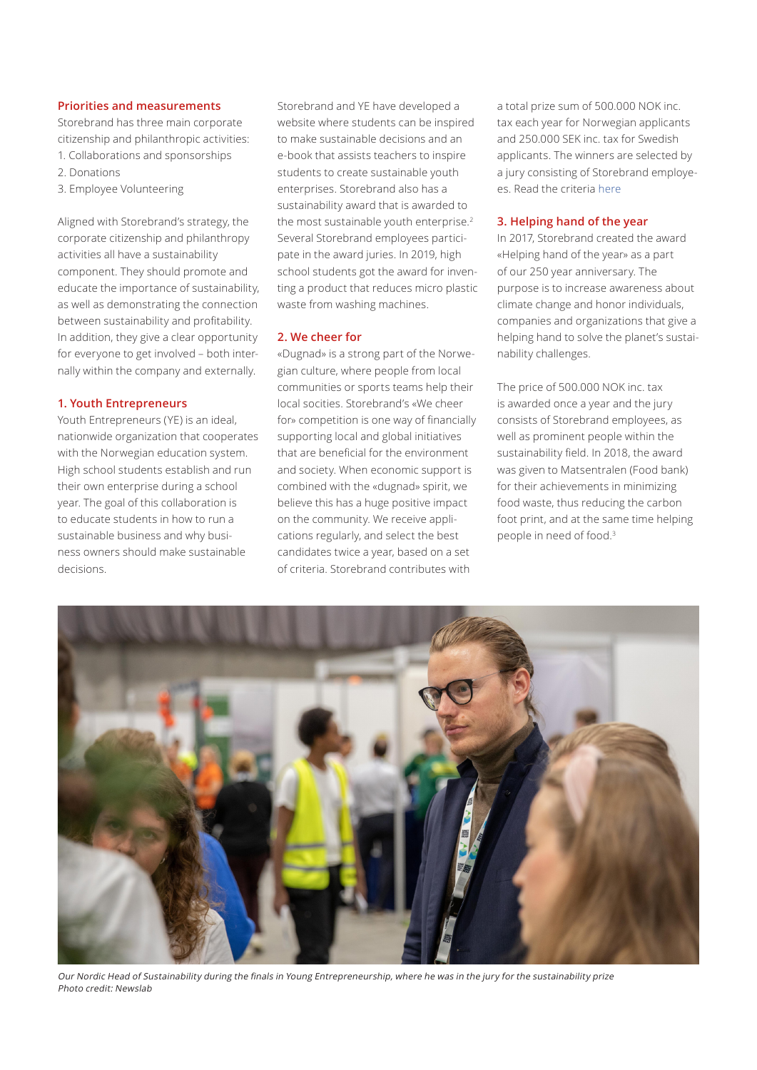#### **Priorities and measurements**

Storebrand has three main corporate citizenship and philanthropic activities: 1. Collaborations and sponsorships

- 2. Donations
- 3. Employee Volunteering

Aligned with Storebrand's strategy, the corporate citizenship and philanthropy activities all have a sustainability component. They should promote and educate the importance of sustainability, as well as demonstrating the connection between sustainability and profitability. In addition, they give a clear opportunity for everyone to get involved – both internally within the company and externally.

### **1. Youth Entrepreneurs**

Youth Entrepreneurs (YE) is an ideal, nationwide organization that cooperates with the Norwegian education system. High school students establish and run their own enterprise during a school year. The goal of this collaboration is to educate students in how to run a sustainable business and why business owners should make sustainable decisions.

Storebrand and YE have developed a website where students can be inspired to make sustainable decisions and an e-book that assists teachers to inspire students to create sustainable youth enterprises. Storebrand also has a sustainability award that is awarded to the most sustainable youth enterprise.<sup>2</sup> Several Storebrand employees participate in the award juries. In 2019, high school students got the award for inventing a product that reduces micro plastic waste from washing machines.

#### **2. We cheer for**

«Dugnad» is a strong part of the Norwegian culture, where people from local communities or sports teams help their local socities. Storebrand's «We cheer for» competition is one way of financially supporting local and global initiatives that are beneficial for the environment and society. When economic support is combined with the «dugnad» spirit, we believe this has a huge positive impact on the community. We receive applications regularly, and select the best candidates twice a year, based on a set of criteria. Storebrand contributes with

a total prize sum of 500.000 NOK inc. tax each year for Norwegian applicants and 250.000 SEK inc. tax for Swedish applicants. The winners are selected by a jury consisting of Storebrand employees. Read the criteria [here](https://www.storebrand.no/om-storebrand/vi-heier-pa-konkurransen)

#### **3. Helping hand of the year**

In 2017, Storebrand created the award «Helping hand of the year» as a part of our 250 year anniversary. The purpose is to increase awareness about climate change and honor individuals, companies and organizations that give a helping hand to solve the planet's sustainability challenges.

The price of 500.000 NOK inc. tax is awarded once a year and the jury consists of Storebrand employees, as well as prominent people within the sustainability field. In 2018, the award was given to Matsentralen (Food bank) for their achievements in minimizing food waste, thus reducing the carbon foot print, and at the same time helping people in need of food.3



Our Nordic Head of Sustainability during the finals in Young Entrepreneurship, where he was in the jury for the sustainability prize Photo credit: Newslab